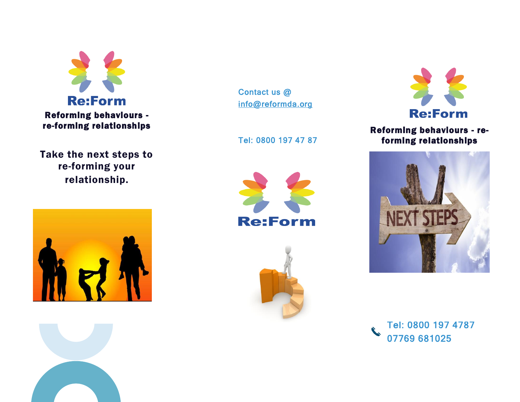

Take the next steps to re-forming your relationship.





Contact us @ [info@reformda.org](mailto:info@reformda.org) 

Tel: 0800 197 47 87







 Reforming behaviours - reforming relationships